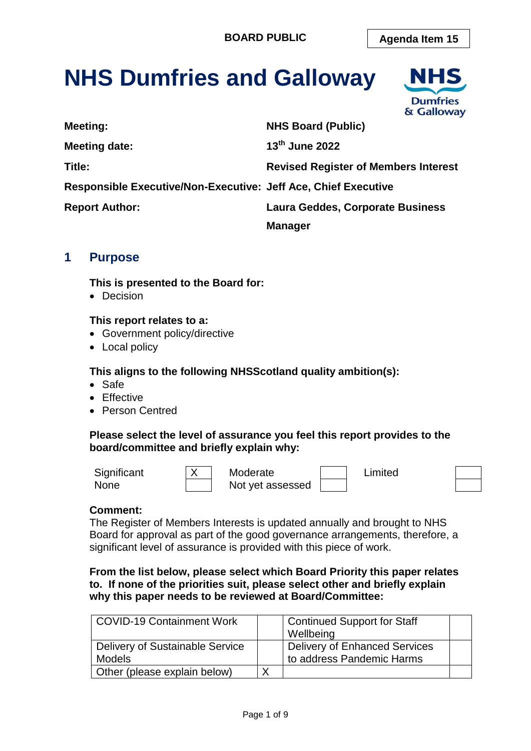# **NHS Dumfries and Galloway**



# **1 Purpose**

**This is presented to the Board for:** 

• Decision

#### **This report relates to a:**

- Government policy/directive
- Local policy

#### **This aligns to the following NHSScotland quality ambition(s):**

- Safe
- Effective
- Person Centred

#### **Please select the level of assurance you feel this report provides to the board/committee and briefly explain why:**

Significant  $\vert X \vert$  Moderate  $\vert$  Limited None **Not** yet assessed



#### **Comment:**

The Register of Members Interests is updated annually and brought to NHS Board for approval as part of the good governance arrangements, therefore, a significant level of assurance is provided with this piece of work.

**From the list below, please select which Board Priority this paper relates to. If none of the priorities suit, please select other and briefly explain why this paper needs to be reviewed at Board/Committee:**

| <b>COVID-19 Containment Work</b>                 | Continued Support for Staff<br>Wellbeing                   |  |
|--------------------------------------------------|------------------------------------------------------------|--|
| Delivery of Sustainable Service<br><b>Models</b> | Delivery of Enhanced Services<br>to address Pandemic Harms |  |
| Other (please explain below)                     |                                                            |  |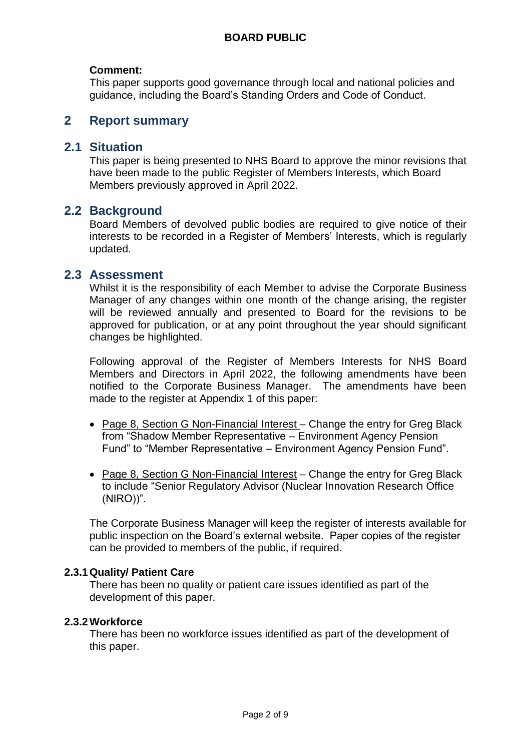#### **Comment:**

This paper supports good governance through local and national policies and guidance, including the Board's Standing Orders and Code of Conduct.

# **2 Report summary**

### **2.1 Situation**

This paper is being presented to NHS Board to approve the minor revisions that have been made to the public Register of Members Interests, which Board Members previously approved in April 2022.

## **2.2 Background**

Board Members of devolved public bodies are required to give notice of their interests to be recorded in a Register of Members' Interests, which is regularly updated.

### **2.3 Assessment**

Whilst it is the responsibility of each Member to advise the Corporate Business Manager of any changes within one month of the change arising, the register will be reviewed annually and presented to Board for the revisions to be approved for publication, or at any point throughout the year should significant changes be highlighted.

Following approval of the Register of Members Interests for NHS Board Members and Directors in April 2022, the following amendments have been notified to the Corporate Business Manager. The amendments have been made to the register at Appendix 1 of this paper:

- Page 8, Section G Non-Financial Interest Change the entry for Greg Black from "Shadow Member Representative – Environment Agency Pension Fund" to "Member Representative – Environment Agency Pension Fund".
- Page 8, Section G Non-Financial Interest Change the entry for Greg Black to include "Senior Regulatory Advisor (Nuclear Innovation Research Office (NIRO))".

The Corporate Business Manager will keep the register of interests available for public inspection on the Board's external website. Paper copies of the register can be provided to members of the public, if required.

#### **2.3.1Quality/ Patient Care**

There has been no quality or patient care issues identified as part of the development of this paper.

#### **2.3.2Workforce**

There has been no workforce issues identified as part of the development of this paper.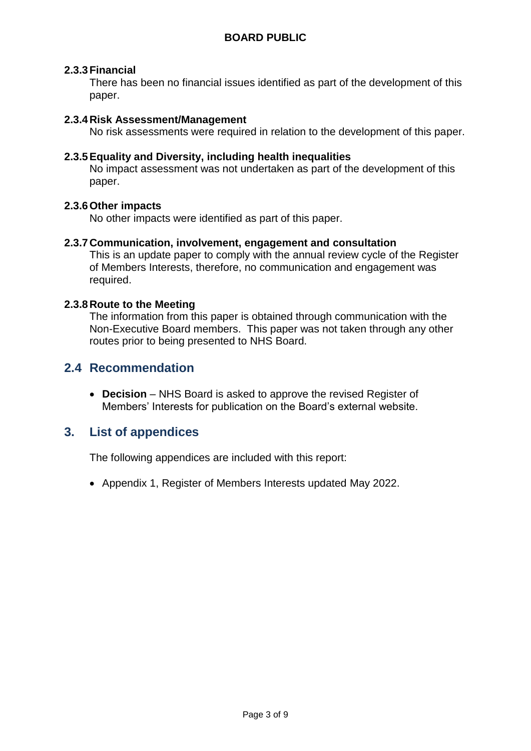#### **2.3.3Financial**

There has been no financial issues identified as part of the development of this paper.

#### **2.3.4Risk Assessment/Management**

No risk assessments were required in relation to the development of this paper.

#### **2.3.5Equality and Diversity, including health inequalities**

No impact assessment was not undertaken as part of the development of this paper.

#### **2.3.6Other impacts**

No other impacts were identified as part of this paper.

#### **2.3.7Communication, involvement, engagement and consultation**

This is an update paper to comply with the annual review cycle of the Register of Members Interests, therefore, no communication and engagement was required.

#### **2.3.8Route to the Meeting**

The information from this paper is obtained through communication with the Non-Executive Board members. This paper was not taken through any other routes prior to being presented to NHS Board.

# **2.4 Recommendation**

 **Decision** – NHS Board is asked to approve the revised Register of Members' Interests for publication on the Board's external website.

# **3. List of appendices**

The following appendices are included with this report:

Appendix 1, Register of Members Interests updated May 2022.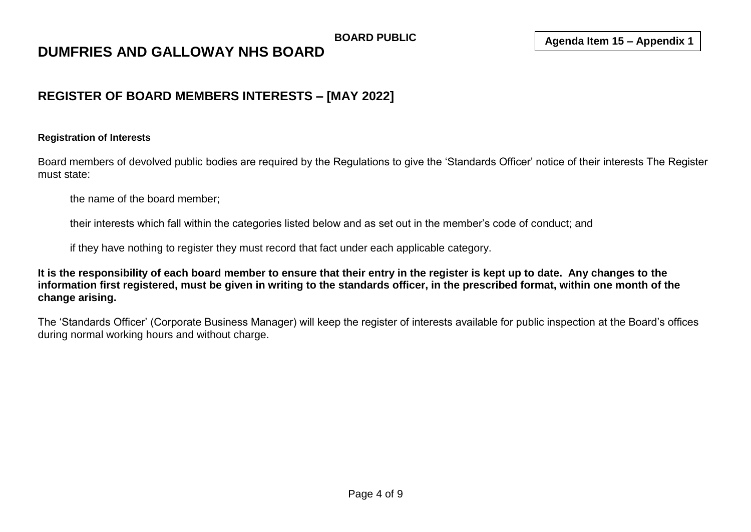# **DUMFRIES AND GALLOWAY NHS BOARD**

# **REGISTER OF BOARD MEMBERS INTERESTS – [MAY 2022]**

#### **Registration of Interests**

Board members of devolved public bodies are required by the Regulations to give the 'Standards Officer' notice of their interests The Register must state:

the name of the board member;

their interests which fall within the categories listed below and as set out in the member's code of conduct; and

if they have nothing to register they must record that fact under each applicable category.

**It is the responsibility of each board member to ensure that their entry in the register is kept up to date. Any changes to the information first registered, must be given in writing to the standards officer, in the prescribed format, within one month of the change arising.**

The 'Standards Officer' (Corporate Business Manager) will keep the register of interests available for public inspection at the Board's offices during normal working hours and without charge.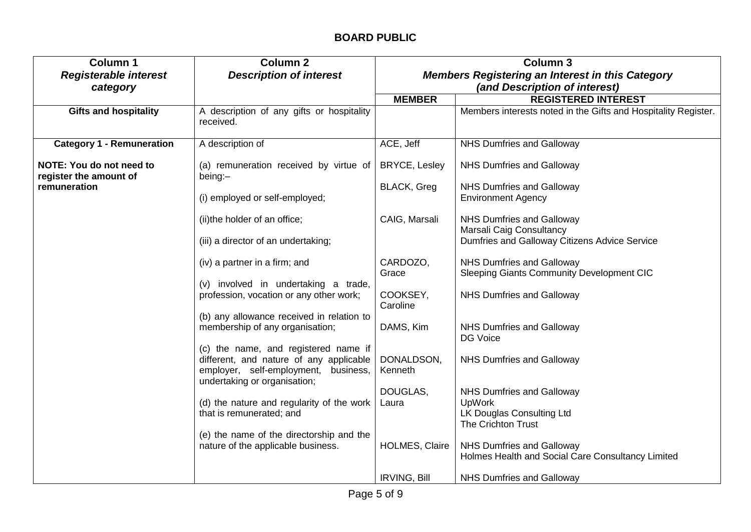| <b>Column 1</b>                                           | <b>Column 2</b>                                                                                                         | <b>Column 3</b>                                         |                                                                                |
|-----------------------------------------------------------|-------------------------------------------------------------------------------------------------------------------------|---------------------------------------------------------|--------------------------------------------------------------------------------|
| <b>Registerable interest</b>                              | <b>Description of interest</b>                                                                                          | <b>Members Registering an Interest in this Category</b> |                                                                                |
| category                                                  |                                                                                                                         |                                                         | (and Description of interest)                                                  |
|                                                           |                                                                                                                         | <b>MEMBER</b>                                           | <b>REGISTERED INTEREST</b>                                                     |
| <b>Gifts and hospitality</b>                              | A description of any gifts or hospitality<br>received.                                                                  |                                                         | Members interests noted in the Gifts and Hospitality Register.                 |
| <b>Category 1 - Remuneration</b>                          | A description of                                                                                                        | ACE, Jeff                                               | <b>NHS Dumfries and Galloway</b>                                               |
| <b>NOTE: You do not need to</b><br>register the amount of | (a) remuneration received by virtue of<br>being:-                                                                       | <b>BRYCE, Lesley</b>                                    | NHS Dumfries and Galloway                                                      |
| remuneration                                              |                                                                                                                         | <b>BLACK, Greg</b>                                      | <b>NHS Dumfries and Galloway</b>                                               |
|                                                           | (i) employed or self-employed;                                                                                          |                                                         | <b>Environment Agency</b>                                                      |
|                                                           | (ii) the holder of an office;                                                                                           | CAIG, Marsali                                           | <b>NHS Dumfries and Galloway</b><br>Marsali Caig Consultancy                   |
|                                                           | (iii) a director of an undertaking;                                                                                     |                                                         | Dumfries and Galloway Citizens Advice Service                                  |
|                                                           | (iv) a partner in a firm; and                                                                                           | CARDOZO,                                                | NHS Dumfries and Galloway                                                      |
|                                                           |                                                                                                                         | Grace                                                   | <b>Sleeping Giants Community Development CIC</b>                               |
|                                                           | (v) involved in undertaking a trade,<br>profession, vocation or any other work;                                         | COOKSEY,<br>Caroline                                    | NHS Dumfries and Galloway                                                      |
|                                                           | (b) any allowance received in relation to                                                                               |                                                         |                                                                                |
|                                                           | membership of any organisation;                                                                                         | DAMS, Kim                                               | <b>NHS Dumfries and Galloway</b><br>DG Voice                                   |
|                                                           | (c) the name, and registered name if<br>different, and nature of any applicable<br>employer, self-employment, business, | DONALDSON,<br>Kenneth                                   | <b>NHS Dumfries and Galloway</b>                                               |
|                                                           | undertaking or organisation;                                                                                            | DOUGLAS,                                                | <b>NHS Dumfries and Galloway</b>                                               |
|                                                           | (d) the nature and regularity of the work                                                                               | Laura                                                   | <b>UpWork</b>                                                                  |
|                                                           | that is remunerated; and                                                                                                |                                                         | LK Douglas Consulting Ltd                                                      |
|                                                           |                                                                                                                         |                                                         | <b>The Crichton Trust</b>                                                      |
|                                                           | (e) the name of the directorship and the                                                                                |                                                         |                                                                                |
|                                                           | nature of the applicable business.                                                                                      | <b>HOLMES, Claire</b>                                   | NHS Dumfries and Galloway<br>Holmes Health and Social Care Consultancy Limited |
|                                                           |                                                                                                                         | <b>IRVING, Bill</b>                                     | <b>NHS Dumfries and Galloway</b>                                               |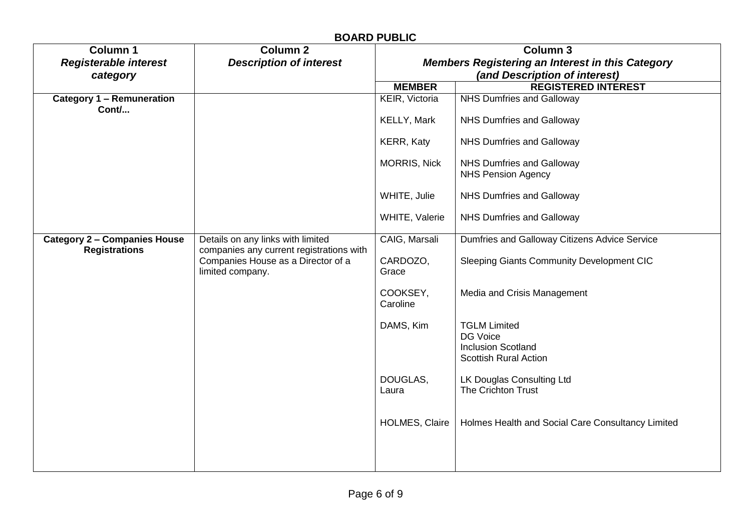| <b>BOARD PUBLIC</b>                                         |                                                                                                                                         |                                                                                                             |                                                                                              |  |
|-------------------------------------------------------------|-----------------------------------------------------------------------------------------------------------------------------------------|-------------------------------------------------------------------------------------------------------------|----------------------------------------------------------------------------------------------|--|
| <b>Column 1</b><br><b>Registerable interest</b><br>category | <b>Column 2</b><br><b>Description of interest</b>                                                                                       | <b>Column 3</b><br><b>Members Registering an Interest in this Category</b><br>(and Description of interest) |                                                                                              |  |
|                                                             |                                                                                                                                         | <b>MEMBER</b>                                                                                               | <b>REGISTERED INTEREST</b>                                                                   |  |
| <b>Category 1 - Remuneration</b><br>Cont/                   |                                                                                                                                         | KEIR, Victoria                                                                                              | NHS Dumfries and Galloway                                                                    |  |
|                                                             |                                                                                                                                         | KELLY, Mark                                                                                                 | <b>NHS Dumfries and Galloway</b>                                                             |  |
|                                                             |                                                                                                                                         | KERR, Katy                                                                                                  | NHS Dumfries and Galloway                                                                    |  |
|                                                             |                                                                                                                                         | <b>MORRIS, Nick</b>                                                                                         | NHS Dumfries and Galloway<br><b>NHS Pension Agency</b>                                       |  |
|                                                             |                                                                                                                                         | WHITE, Julie                                                                                                | NHS Dumfries and Galloway                                                                    |  |
|                                                             |                                                                                                                                         | WHITE, Valerie                                                                                              | NHS Dumfries and Galloway                                                                    |  |
| <b>Category 2 - Companies House</b><br><b>Registrations</b> | Details on any links with limited<br>companies any current registrations with<br>Companies House as a Director of a<br>limited company. | CAIG, Marsali                                                                                               | Dumfries and Galloway Citizens Advice Service                                                |  |
|                                                             |                                                                                                                                         | CARDOZO,<br>Grace                                                                                           | <b>Sleeping Giants Community Development CIC</b>                                             |  |
|                                                             |                                                                                                                                         | COOKSEY,<br>Caroline                                                                                        | Media and Crisis Management                                                                  |  |
|                                                             |                                                                                                                                         | DAMS, Kim                                                                                                   | <b>TGLM Limited</b><br>DG Voice<br><b>Inclusion Scotland</b><br><b>Scottish Rural Action</b> |  |
|                                                             |                                                                                                                                         | DOUGLAS,<br>Laura                                                                                           | LK Douglas Consulting Ltd<br>The Crichton Trust                                              |  |
|                                                             |                                                                                                                                         | <b>HOLMES, Claire</b>                                                                                       | Holmes Health and Social Care Consultancy Limited                                            |  |
|                                                             |                                                                                                                                         |                                                                                                             |                                                                                              |  |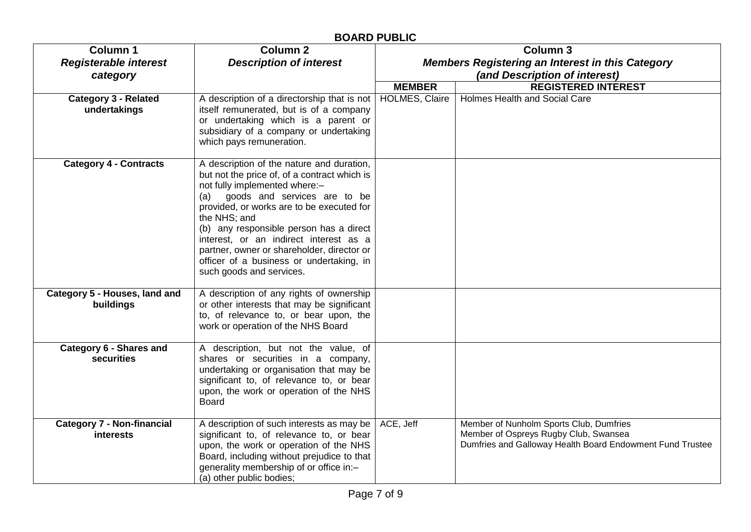| <b>BOARD PUBLIC</b>                             |                                                                                                                                                                                                                                                                                                                                                                                                                                           |                                                                            |                                                                                                                                               |  |
|-------------------------------------------------|-------------------------------------------------------------------------------------------------------------------------------------------------------------------------------------------------------------------------------------------------------------------------------------------------------------------------------------------------------------------------------------------------------------------------------------------|----------------------------------------------------------------------------|-----------------------------------------------------------------------------------------------------------------------------------------------|--|
| <b>Column 1</b><br><b>Registerable interest</b> | <b>Column 2</b><br><b>Description of interest</b>                                                                                                                                                                                                                                                                                                                                                                                         | <b>Column 3</b><br><b>Members Registering an Interest in this Category</b> |                                                                                                                                               |  |
| category                                        |                                                                                                                                                                                                                                                                                                                                                                                                                                           |                                                                            | (and Description of interest)                                                                                                                 |  |
|                                                 |                                                                                                                                                                                                                                                                                                                                                                                                                                           | <b>MEMBER</b>                                                              | <b>REGISTERED INTEREST</b>                                                                                                                    |  |
| <b>Category 3 - Related</b><br>undertakings     | A description of a directorship that is not<br>itself remunerated, but is of a company<br>or undertaking which is a parent or<br>subsidiary of a company or undertaking<br>which pays remuneration.                                                                                                                                                                                                                                       | <b>HOLMES, Claire</b>                                                      | Holmes Health and Social Care                                                                                                                 |  |
| <b>Category 4 - Contracts</b>                   | A description of the nature and duration,<br>but not the price of, of a contract which is<br>not fully implemented where:-<br>goods and services are to be<br>(a)<br>provided, or works are to be executed for<br>the NHS; and<br>(b) any responsible person has a direct<br>interest, or an indirect interest as a<br>partner, owner or shareholder, director or<br>officer of a business or undertaking, in<br>such goods and services. |                                                                            |                                                                                                                                               |  |
| Category 5 - Houses, land and<br>buildings      | A description of any rights of ownership<br>or other interests that may be significant<br>to, of relevance to, or bear upon, the<br>work or operation of the NHS Board                                                                                                                                                                                                                                                                    |                                                                            |                                                                                                                                               |  |
| Category 6 - Shares and<br>securities           | A description, but not the value, of<br>shares or securities in a company,<br>undertaking or organisation that may be<br>significant to, of relevance to, or bear<br>upon, the work or operation of the NHS<br><b>Board</b>                                                                                                                                                                                                               |                                                                            |                                                                                                                                               |  |
| <b>Category 7 - Non-financial</b><br>interests  | A description of such interests as may be<br>significant to, of relevance to, or bear<br>upon, the work or operation of the NHS<br>Board, including without prejudice to that<br>generality membership of or office in:-<br>(a) other public bodies;                                                                                                                                                                                      | ACE, Jeff                                                                  | Member of Nunholm Sports Club, Dumfries<br>Member of Ospreys Rugby Club, Swansea<br>Dumfries and Galloway Health Board Endowment Fund Trustee |  |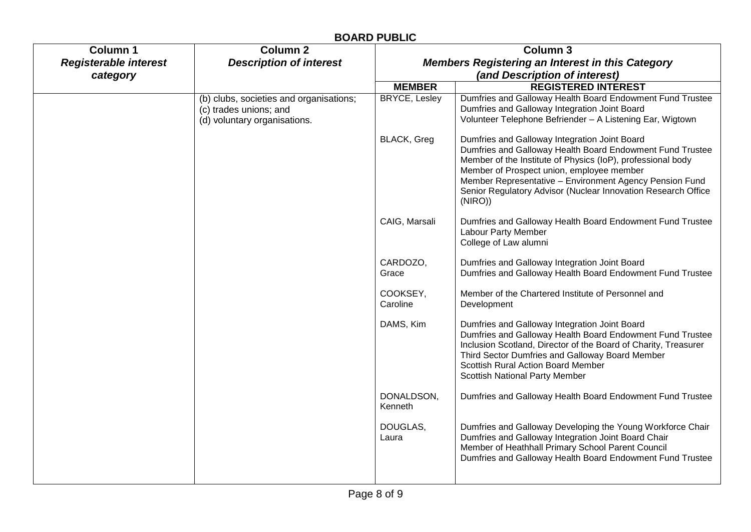|                              |                                                                                                   | <b>BOARD PUBLIC</b>                                     |                                                                                                                                                                                                                                                                                                                                                               |
|------------------------------|---------------------------------------------------------------------------------------------------|---------------------------------------------------------|---------------------------------------------------------------------------------------------------------------------------------------------------------------------------------------------------------------------------------------------------------------------------------------------------------------------------------------------------------------|
| <b>Column 1</b>              | <b>Column 2</b>                                                                                   | <b>Column 3</b>                                         |                                                                                                                                                                                                                                                                                                                                                               |
| <b>Registerable interest</b> | <b>Description of interest</b>                                                                    | <b>Members Registering an Interest in this Category</b> |                                                                                                                                                                                                                                                                                                                                                               |
| category                     |                                                                                                   |                                                         | (and Description of interest)                                                                                                                                                                                                                                                                                                                                 |
|                              |                                                                                                   | <b>MEMBER</b>                                           | <b>REGISTERED INTEREST</b>                                                                                                                                                                                                                                                                                                                                    |
|                              | (b) clubs, societies and organisations;<br>(c) trades unions; and<br>(d) voluntary organisations. | <b>BRYCE, Lesley</b>                                    | Dumfries and Galloway Health Board Endowment Fund Trustee<br>Dumfries and Galloway Integration Joint Board<br>Volunteer Telephone Befriender - A Listening Ear, Wigtown                                                                                                                                                                                       |
|                              |                                                                                                   | BLACK, Greg                                             | Dumfries and Galloway Integration Joint Board<br>Dumfries and Galloway Health Board Endowment Fund Trustee<br>Member of the Institute of Physics (IoP), professional body<br>Member of Prospect union, employee member<br>Member Representative - Environment Agency Pension Fund<br>Senior Regulatory Advisor (Nuclear Innovation Research Office<br>(NIRO)) |
|                              |                                                                                                   | CAIG, Marsali                                           | Dumfries and Galloway Health Board Endowment Fund Trustee<br>Labour Party Member<br>College of Law alumni                                                                                                                                                                                                                                                     |
|                              |                                                                                                   | CARDOZO,<br>Grace                                       | Dumfries and Galloway Integration Joint Board<br>Dumfries and Galloway Health Board Endowment Fund Trustee                                                                                                                                                                                                                                                    |
|                              |                                                                                                   | COOKSEY,<br>Caroline                                    | Member of the Chartered Institute of Personnel and<br>Development                                                                                                                                                                                                                                                                                             |
|                              |                                                                                                   | DAMS, Kim                                               | Dumfries and Galloway Integration Joint Board<br>Dumfries and Galloway Health Board Endowment Fund Trustee<br>Inclusion Scotland, Director of the Board of Charity, Treasurer<br>Third Sector Dumfries and Galloway Board Member<br><b>Scottish Rural Action Board Member</b><br>Scottish National Party Member                                               |
|                              |                                                                                                   | DONALDSON,<br>Kenneth                                   | Dumfries and Galloway Health Board Endowment Fund Trustee                                                                                                                                                                                                                                                                                                     |
|                              |                                                                                                   | DOUGLAS,<br>Laura                                       | Dumfries and Galloway Developing the Young Workforce Chair<br>Dumfries and Galloway Integration Joint Board Chair<br>Member of Heathhall Primary School Parent Council<br>Dumfries and Galloway Health Board Endowment Fund Trustee                                                                                                                           |